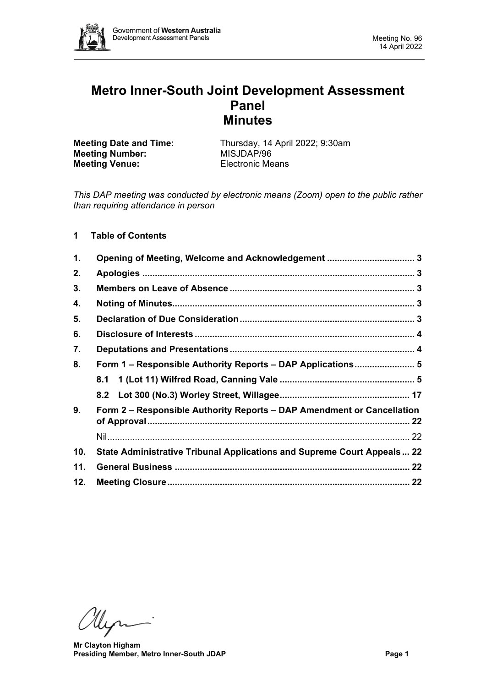

# **Metro Inner-South Joint Development Assessment Panel Minutes**

**Meeting Number:** MISJDAP/96<br> **Meeting Venue:** Electronic Means **Meeting Venue:** 

**Meeting Date and Time:** Thursday, 14 April 2022; 9:30am<br> **MISJDAP/96** 

*This DAP meeting was conducted by electronic means (Zoom) open to the public rather than requiring attendance in person*

# **1 Table of Contents**

| 1.  |                                                                         |  |
|-----|-------------------------------------------------------------------------|--|
| 2.  |                                                                         |  |
| 3.  |                                                                         |  |
| 4.  |                                                                         |  |
| 5.  |                                                                         |  |
| 6.  |                                                                         |  |
| 7.  |                                                                         |  |
| 8.  | Form 1 - Responsible Authority Reports - DAP Applications 5             |  |
|     | 8.1                                                                     |  |
|     |                                                                         |  |
| 9.  | Form 2 – Responsible Authority Reports – DAP Amendment or Cancellation  |  |
|     |                                                                         |  |
| 10. | State Administrative Tribunal Applications and Supreme Court Appeals 22 |  |
| 11. |                                                                         |  |
| 12. |                                                                         |  |

Myri

**Mr Clayton Higham Presiding Member, Metro Inner-South JDAP Page 1**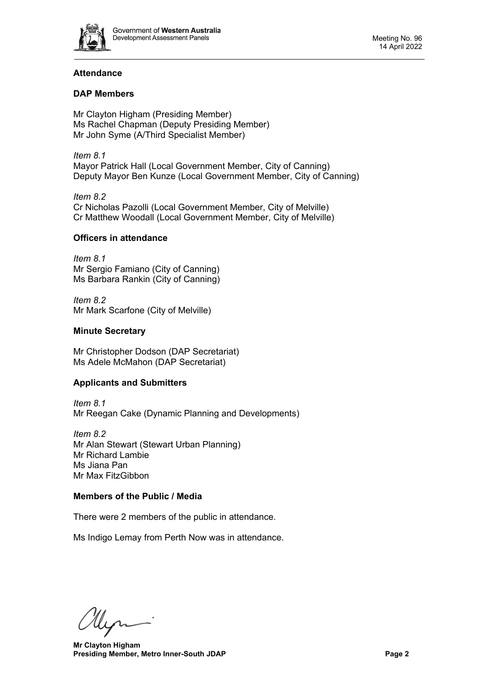

# **Attendance**

# **DAP Members**

Mr Clayton Higham (Presiding Member) Ms Rachel Chapman (Deputy Presiding Member) Mr John Syme (A/Third Specialist Member)

*Item 8.1* Mayor Patrick Hall (Local Government Member, City of Canning) Deputy Mayor Ben Kunze (Local Government Member, City of Canning)

*Item 8.2* Cr Nicholas Pazolli (Local Government Member, City of Melville) Cr Matthew Woodall (Local Government Member, City of Melville)

# **Officers in attendance**

*Item 8.1* Mr Sergio Famiano (City of Canning) Ms Barbara Rankin (City of Canning)

*Item 8.2* Mr Mark Scarfone (City of Melville)

# **Minute Secretary**

Mr Christopher Dodson (DAP Secretariat) Ms Adele McMahon (DAP Secretariat)

# **Applicants and Submitters**

*Item 8.1* Mr Reegan Cake (Dynamic Planning and Developments)

*Item 8.2* Mr Alan Stewart (Stewart Urban Planning) Mr Richard Lambie Ms Jiana Pan Mr Max FitzGibbon

# **Members of the Public / Media**

There were 2 members of the public in attendance.

Ms Indigo Lemay from Perth Now was in attendance.

Men

**Mr Clayton Higham Presiding Member, Metro Inner-South JDAP Page 2**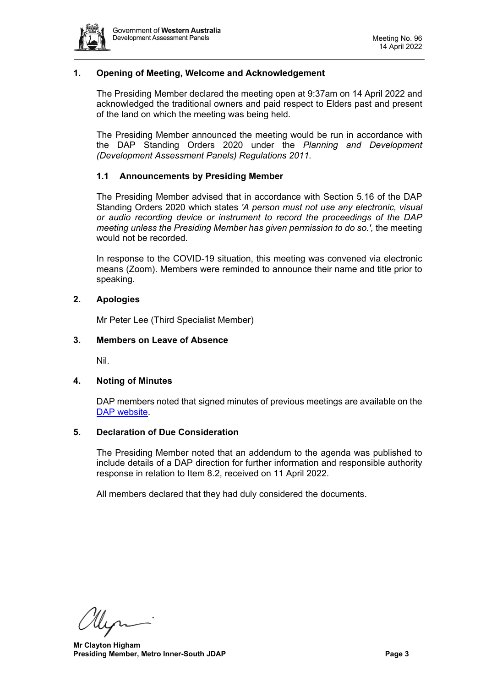

# <span id="page-2-0"></span>**1. Opening of Meeting, Welcome and Acknowledgement**

The Presiding Member declared the meeting open at 9:37am on 14 April 2022 and acknowledged the traditional owners and paid respect to Elders past and present of the land on which the meeting was being held.

The Presiding Member announced the meeting would be run in accordance with the DAP Standing Orders 2020 under the *Planning and Development (Development Assessment Panels) Regulations 2011.*

### **1.1 Announcements by Presiding Member**

The Presiding Member advised that in accordance with Section 5.16 of the DAP Standing Orders 2020 which states *'A person must not use any electronic, visual or audio recording device or instrument to record the proceedings of the DAP meeting unless the Presiding Member has given permission to do so.',* the meeting would not be recorded.

In response to the COVID-19 situation, this meeting was convened via electronic means (Zoom). Members were reminded to announce their name and title prior to speaking.

# <span id="page-2-1"></span>**2. Apologies**

Mr Peter Lee (Third Specialist Member)

#### <span id="page-2-2"></span>**3. Members on Leave of Absence**

Nil.

#### <span id="page-2-3"></span>**4. Noting of Minutes**

DAP members noted that signed minutes of previous meetings are available on the [DAP website.](https://www.dplh.wa.gov.au/about/development-assessment-panels/daps-agendas-and-minutes)

#### <span id="page-2-4"></span>**5. Declaration of Due Consideration**

The Presiding Member noted that an addendum to the agenda was published to include details of a DAP direction for further information and responsible authority response in relation to Item 8.2, received on 11 April 2022.

All members declared that they had duly considered the documents.

Hen

**Mr Clayton Higham Presiding Member, Metro Inner-South JDAP Page 3 Page 3**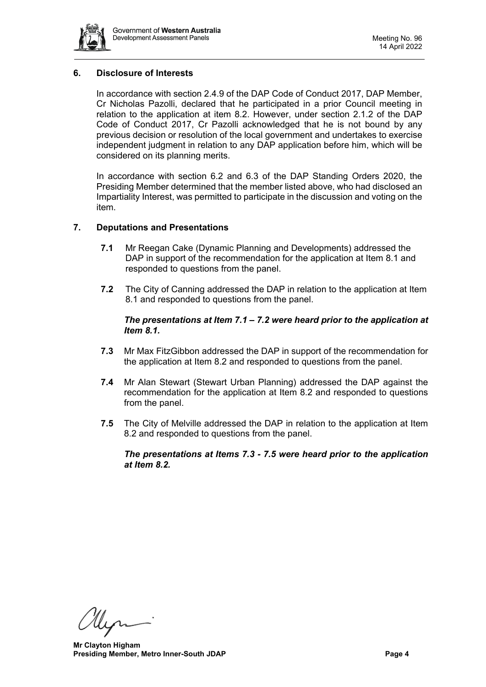

# <span id="page-3-0"></span>**6. Disclosure of Interests**

In accordance with section 2.4.9 of the DAP Code of Conduct 2017, DAP Member, Cr Nicholas Pazolli, declared that he participated in a prior Council meeting in relation to the application at item 8.2. However, under section 2.1.2 of the DAP Code of Conduct 2017, Cr Pazolli acknowledged that he is not bound by any previous decision or resolution of the local government and undertakes to exercise independent judgment in relation to any DAP application before him, which will be considered on its planning merits.

In accordance with section 6.2 and 6.3 of the DAP Standing Orders 2020, the Presiding Member determined that the member listed above, who had disclosed an Impartiality Interest, was permitted to participate in the discussion and voting on the item.

### <span id="page-3-1"></span>**7. Deputations and Presentations**

- **7.1** Mr Reegan Cake (Dynamic Planning and Developments) addressed the DAP in support of the recommendation for the application at Item 8.1 and responded to questions from the panel.
- **7.2** The City of Canning addressed the DAP in relation to the application at Item 8.1 and responded to questions from the panel.

### *The presentations at Item 7.1 – 7.2 were heard prior to the application at Item 8.1.*

- **7.3** Mr Max FitzGibbon addressed the DAP in support of the recommendation for the application at Item 8.2 and responded to questions from the panel.
- **7.4** Mr Alan Stewart (Stewart Urban Planning) addressed the DAP against the recommendation for the application at Item 8.2 and responded to questions from the panel.
- **7.5** The City of Melville addressed the DAP in relation to the application at Item 8.2 and responded to questions from the panel.

*The presentations at Items 7.3 - 7.5 were heard prior to the application at Item 8.2.* 

Hen

**Mr Clayton Higham Presiding Member, Metro Inner-South JDAP Page 4 Page 4**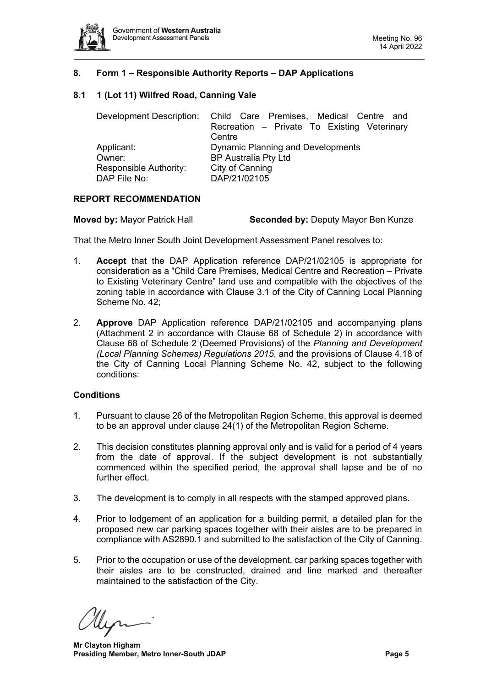

# <span id="page-4-0"></span>**8. Form 1 – Responsible Authority Reports – DAP Applications**

# <span id="page-4-1"></span>**8.1 1 (Lot 11) Wilfred Road, Canning Vale**

|                        | Development Description: Child Care Premises, Medical Centre and |  |  |  |
|------------------------|------------------------------------------------------------------|--|--|--|
|                        | Recreation - Private To Existing Veterinary                      |  |  |  |
|                        | Centre                                                           |  |  |  |
| Applicant:             | <b>Dynamic Planning and Developments</b>                         |  |  |  |
| Owner:                 | <b>BP Australia Pty Ltd</b>                                      |  |  |  |
| Responsible Authority: | City of Canning                                                  |  |  |  |
| DAP File No:           | DAP/21/02105                                                     |  |  |  |

### **REPORT RECOMMENDATION**

**Moved by:** Mayor Patrick Hall **Seconded by:** Deputy Mayor Ben Kunze

That the Metro Inner South Joint Development Assessment Panel resolves to:

- 1. **Accept** that the DAP Application reference DAP/21/02105 is appropriate for consideration as a "Child Care Premises, Medical Centre and Recreation – Private to Existing Veterinary Centre" land use and compatible with the objectives of the zoning table in accordance with Clause 3.1 of the City of Canning Local Planning Scheme No. 42;
- 2. **Approve** DAP Application reference DAP/21/02105 and accompanying plans (Attachment 2 in accordance with Clause 68 of Schedule 2) in accordance with Clause 68 of Schedule 2 (Deemed Provisions) of the *Planning and Development (Local Planning Schemes) Regulations 2015*, and the provisions of Clause 4.18 of the City of Canning Local Planning Scheme No. 42, subject to the following conditions:

#### **Conditions**

- 1. Pursuant to clause 26 of the Metropolitan Region Scheme, this approval is deemed to be an approval under clause 24(1) of the Metropolitan Region Scheme.
- 2. This decision constitutes planning approval only and is valid for a period of 4 years from the date of approval. If the subject development is not substantially commenced within the specified period, the approval shall lapse and be of no further effect.
- 3. The development is to comply in all respects with the stamped approved plans.
- 4. Prior to lodgement of an application for a building permit, a detailed plan for the proposed new car parking spaces together with their aisles are to be prepared in compliance with AS2890.1 and submitted to the satisfaction of the City of Canning.
- 5. Prior to the occupation or use of the development, car parking spaces together with their aisles are to be constructed, drained and line marked and thereafter maintained to the satisfaction of the City.

**Mr Clayton Higham Presiding Member, Metro Inner-South JDAP Page 5**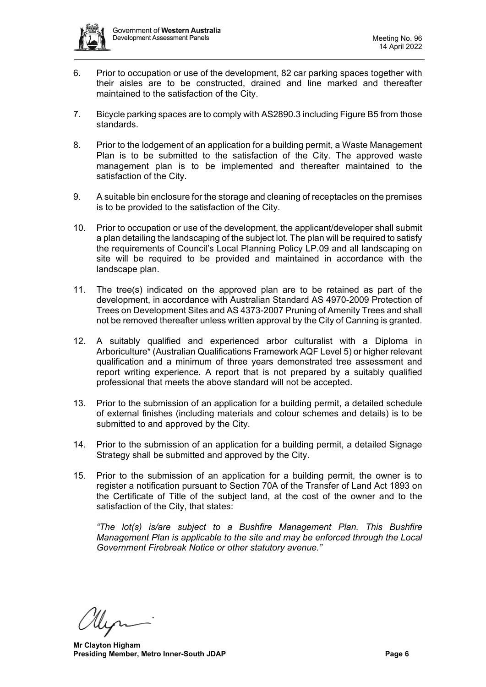

- 6. Prior to occupation or use of the development, 82 car parking spaces together with their aisles are to be constructed, drained and line marked and thereafter maintained to the satisfaction of the City.
- 7. Bicycle parking spaces are to comply with AS2890.3 including Figure B5 from those standards.
- 8. Prior to the lodgement of an application for a building permit, a Waste Management Plan is to be submitted to the satisfaction of the City. The approved waste management plan is to be implemented and thereafter maintained to the satisfaction of the City.
- 9. A suitable bin enclosure for the storage and cleaning of receptacles on the premises is to be provided to the satisfaction of the City.
- 10. Prior to occupation or use of the development, the applicant/developer shall submit a plan detailing the landscaping of the subject lot. The plan will be required to satisfy the requirements of Council's Local Planning Policy LP.09 and all landscaping on site will be required to be provided and maintained in accordance with the landscape plan.
- 11. The tree(s) indicated on the approved plan are to be retained as part of the development, in accordance with Australian Standard AS 4970-2009 Protection of Trees on Development Sites and AS 4373-2007 Pruning of Amenity Trees and shall not be removed thereafter unless written approval by the City of Canning is granted.
- 12. A suitably qualified and experienced arbor culturalist with a Diploma in Arboriculture\* (Australian Qualifications Framework AQF Level 5) or higher relevant qualification and a minimum of three years demonstrated tree assessment and report writing experience. A report that is not prepared by a suitably qualified professional that meets the above standard will not be accepted.
- 13. Prior to the submission of an application for a building permit, a detailed schedule of external finishes (including materials and colour schemes and details) is to be submitted to and approved by the City.
- 14. Prior to the submission of an application for a building permit, a detailed Signage Strategy shall be submitted and approved by the City.
- 15. Prior to the submission of an application for a building permit, the owner is to register a notification pursuant to Section 70A of the Transfer of Land Act 1893 on the Certificate of Title of the subject land, at the cost of the owner and to the satisfaction of the City, that states:

*"The lot(s) is/are subject to a Bushfire Management Plan. This Bushfire Management Plan is applicable to the site and may be enforced through the Local Government Firebreak Notice or other statutory avenue."*

**Mr Clayton Higham Presiding Member, Metro Inner-South JDAP Page 6 Page 6**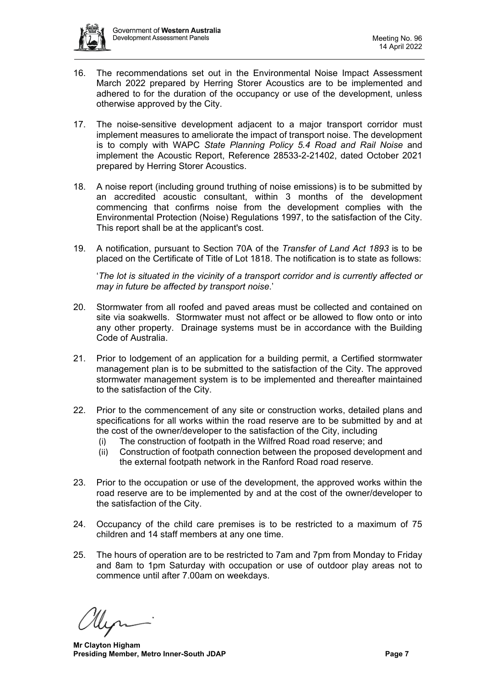

- 16. The recommendations set out in the Environmental Noise Impact Assessment March 2022 prepared by Herring Storer Acoustics are to be implemented and adhered to for the duration of the occupancy or use of the development, unless otherwise approved by the City.
- 17. The noise-sensitive development adjacent to a major transport corridor must implement measures to ameliorate the impact of transport noise. The development is to comply with WAPC *State Planning Policy 5.4 Road and Rail Noise* and implement the Acoustic Report, Reference 28533-2-21402, dated October 2021 prepared by Herring Storer Acoustics.
- 18. A noise report (including ground truthing of noise emissions) is to be submitted by an accredited acoustic consultant, within 3 months of the development commencing that confirms noise from the development complies with the Environmental Protection (Noise) Regulations 1997, to the satisfaction of the City. This report shall be at the applicant's cost.
- 19. A notification, pursuant to Section 70A of the *Transfer of Land Act 1893* is to be placed on the Certificate of Title of Lot 1818. The notification is to state as follows:

'*The lot is situated in the vicinity of a transport corridor and is currently affected or may in future be affected by transport noise*.'

- 20. Stormwater from all roofed and paved areas must be collected and contained on site via soakwells. Stormwater must not affect or be allowed to flow onto or into any other property. Drainage systems must be in accordance with the Building Code of Australia.
- 21. Prior to lodgement of an application for a building permit, a Certified stormwater management plan is to be submitted to the satisfaction of the City. The approved stormwater management system is to be implemented and thereafter maintained to the satisfaction of the City.
- 22. Prior to the commencement of any site or construction works, detailed plans and specifications for all works within the road reserve are to be submitted by and at the cost of the owner/developer to the satisfaction of the City, including
	- (i) The construction of footpath in the Wilfred Road road reserve; and
	- (ii) Construction of footpath connection between the proposed development and the external footpath network in the Ranford Road road reserve.
- 23. Prior to the occupation or use of the development, the approved works within the road reserve are to be implemented by and at the cost of the owner/developer to the satisfaction of the City.
- 24. Occupancy of the child care premises is to be restricted to a maximum of 75 children and 14 staff members at any one time.
- 25. The hours of operation are to be restricted to 7am and 7pm from Monday to Friday and 8am to 1pm Saturday with occupation or use of outdoor play areas not to commence until after 7.00am on weekdays.

**Mr Clayton Higham Presiding Member, Metro Inner-South JDAP Page 7 Page 7**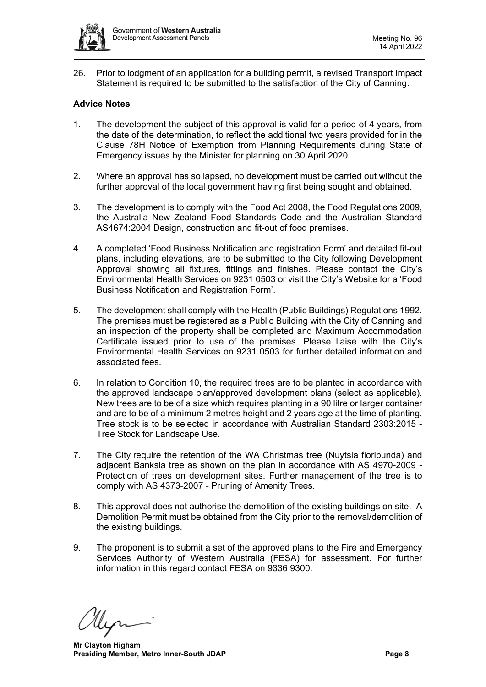

26. Prior to lodgment of an application for a building permit, a revised Transport Impact Statement is required to be submitted to the satisfaction of the City of Canning.

# **Advice Notes**

- 1. The development the subject of this approval is valid for a period of 4 years, from the date of the determination, to reflect the additional two years provided for in the Clause 78H Notice of Exemption from Planning Requirements during State of Emergency issues by the Minister for planning on 30 April 2020.
- 2. Where an approval has so lapsed, no development must be carried out without the further approval of the local government having first being sought and obtained.
- 3. The development is to comply with the Food Act 2008, the Food Regulations 2009, the Australia New Zealand Food Standards Code and the Australian Standard AS4674:2004 Design, construction and fit-out of food premises.
- 4. A completed 'Food Business Notification and registration Form' and detailed fit-out plans, including elevations, are to be submitted to the City following Development Approval showing all fixtures, fittings and finishes. Please contact the City's Environmental Health Services on 9231 0503 or visit the City's Website for a 'Food Business Notification and Registration Form'.
- 5. The development shall comply with the Health (Public Buildings) Regulations 1992. The premises must be registered as a Public Building with the City of Canning and an inspection of the property shall be completed and Maximum Accommodation Certificate issued prior to use of the premises. Please liaise with the City's Environmental Health Services on 9231 0503 for further detailed information and associated fees.
- 6. In relation to Condition 10, the required trees are to be planted in accordance with the approved landscape plan/approved development plans (select as applicable). New trees are to be of a size which requires planting in a 90 litre or larger container and are to be of a minimum 2 metres height and 2 years age at the time of planting. Tree stock is to be selected in accordance with Australian Standard 2303:2015 - Tree Stock for Landscape Use.
- 7. The City require the retention of the WA Christmas tree (Nuytsia floribunda) and adjacent Banksia tree as shown on the plan in accordance with AS 4970-2009 - Protection of trees on development sites. Further management of the tree is to comply with AS 4373-2007 - Pruning of Amenity Trees.
- 8. This approval does not authorise the demolition of the existing buildings on site. A Demolition Permit must be obtained from the City prior to the removal/demolition of the existing buildings.
- 9. The proponent is to submit a set of the approved plans to the Fire and Emergency Services Authority of Western Australia (FESA) for assessment. For further information in this regard contact FESA on 9336 9300.

**Mr Clayton Higham Presiding Member, Metro Inner-South JDAP Page 8**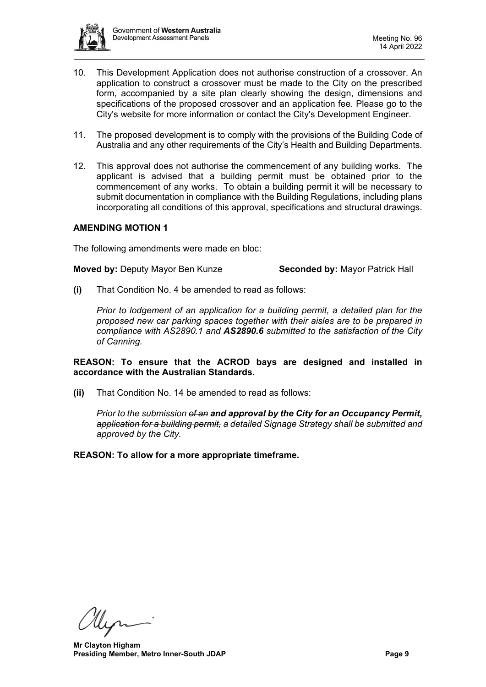

- 10. This Development Application does not authorise construction of a crossover. An application to construct a crossover must be made to the City on the prescribed form, accompanied by a site plan clearly showing the design, dimensions and specifications of the proposed crossover and an application fee. Please go to the City's website for more information or contact the City's Development Engineer.
- 11. The proposed development is to comply with the provisions of the Building Code of Australia and any other requirements of the City's Health and Building Departments.
- 12. This approval does not authorise the commencement of any building works. The applicant is advised that a building permit must be obtained prior to the commencement of any works. To obtain a building permit it will be necessary to submit documentation in compliance with the Building Regulations, including plans incorporating all conditions of this approval, specifications and structural drawings.

# **AMENDING MOTION 1**

The following amendments were made en bloc:

**Moved by:** Deputy Mayor Ben Kunze **Seconded by:** Mayor Patrick Hall

**(i)** That Condition No. 4 be amended to read as follows:

*Prior to lodgement of an application for a building permit, a detailed plan for the proposed new car parking spaces together with their aisles are to be prepared in compliance with AS2890.1 and AS2890.6 submitted to the satisfaction of the City of Canning.* 

**REASON: To ensure that the ACROD bays are designed and installed in accordance with the Australian Standards.**

**(ii)** That Condition No. 14 be amended to read as follows:

*Prior to the submission of an and approval by the City for an Occupancy Permit, application for a building permit, a detailed Signage Strategy shall be submitted and approved by the City.*

**REASON: To allow for a more appropriate timeframe.**

Men

**Mr Clayton Higham Presiding Member, Metro Inner-South JDAP Page 9 Page 9**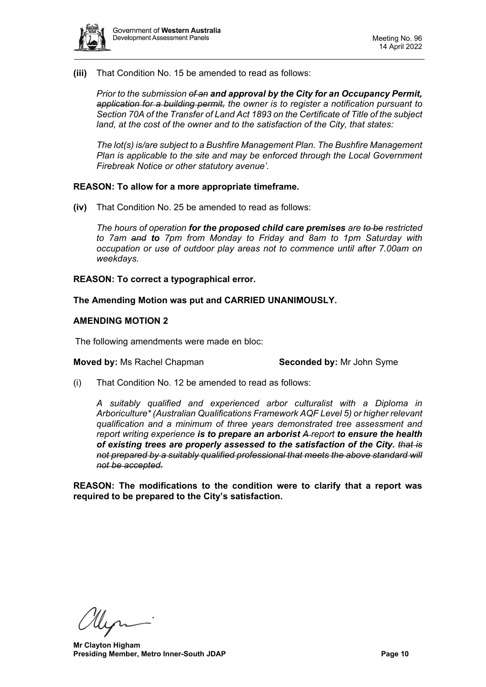

**(iii)** That Condition No. 15 be amended to read as follows:

*Prior to the submission of an and approval by the City for an Occupancy Permit, application for a building permit, the owner is to register a notification pursuant to Section 70A of the Transfer of Land Act 1893 on the Certificate of Title of the subject land, at the cost of the owner and to the satisfaction of the City, that states:*

*The lot(s) is/are subject to a Bushfire Management Plan. The Bushfire Management Plan is applicable to the site and may be enforced through the Local Government Firebreak Notice or other statutory avenue'.* 

### **REASON: To allow for a more appropriate timeframe.**

**(iv)** That Condition No. 25 be amended to read as follows:

*The hours of operation for the proposed child care premises are to be restricted to 7am and to 7pm from Monday to Friday and 8am to 1pm Saturday with occupation or use of outdoor play areas not to commence until after 7.00am on weekdays.*

### **REASON: To correct a typographical error.**

**The Amending Motion was put and CARRIED UNANIMOUSLY.**

### **AMENDING MOTION 2**

The following amendments were made en bloc:

#### **Moved by:** Ms Rachel Chapman **Seconded by:** Mr John Syme

(i) That Condition No. 12 be amended to read as follows:

*A suitably qualified and experienced arbor culturalist with a Diploma in Arboriculture\* (Australian Qualifications Framework AQF Level 5) or higher relevant qualification and a minimum of three years demonstrated tree assessment and report writing experience is to prepare an arborist A report to ensure the health of existing trees are properly assessed to the satisfaction of the City. that is not prepared by a suitably qualified professional that meets the above standard will not be accepted.*

**REASON: The modifications to the condition were to clarify that a report was required to be prepared to the City's satisfaction.**

llen

**Mr Clayton Higham Presiding Member, Metro Inner-South JDAP Page 10 Page 10**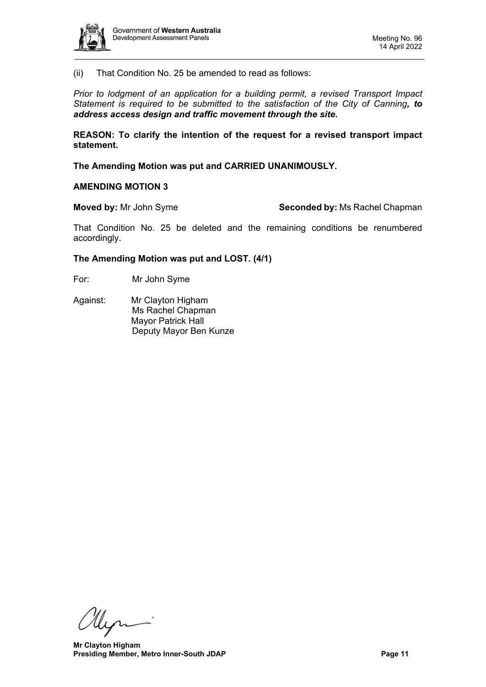

(ii) That Condition No. 25 be amended to read as follows:

*Prior to lodgment of an application for a building permit, a revised Transport Impact Statement is required to be submitted to the satisfaction of the City of Canning, to address access design and traffic movement through the site.* 

**REASON: To clarify the intention of the request for a revised transport impact statement.**

**The Amending Motion was put and CARRIED UNANIMOUSLY.**

#### **AMENDING MOTION 3**

**Moved by:** Mr John Syme **Seconded by:** Ms Rachel Chapman

That Condition No. 25 be deleted and the remaining conditions be renumbered accordingly.

#### **The Amending Motion was put and LOST. (4/1)**

- For: Mr John Syme
- Against: Mr Clayton Higham Ms Rachel Chapman Mayor Patrick Hall Deputy Mayor Ben Kunze

Myr-

**Mr Clayton Higham Presiding Member, Metro Inner-South JDAP Page 11 Page 11**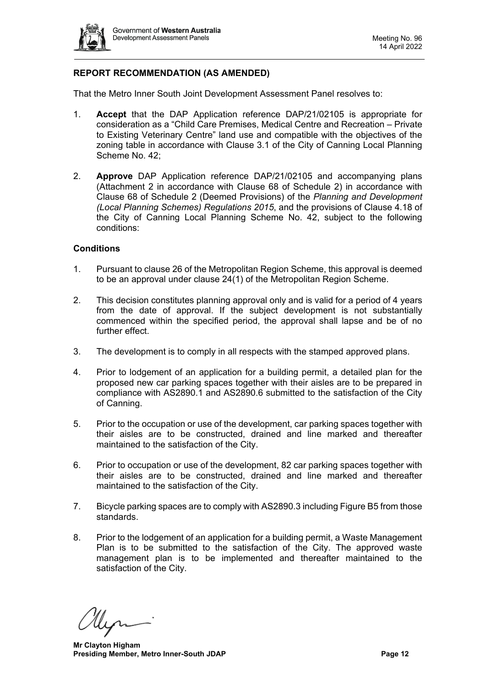

# **REPORT RECOMMENDATION (AS AMENDED)**

That the Metro Inner South Joint Development Assessment Panel resolves to:

- 1. **Accept** that the DAP Application reference DAP/21/02105 is appropriate for consideration as a "Child Care Premises, Medical Centre and Recreation – Private to Existing Veterinary Centre" land use and compatible with the objectives of the zoning table in accordance with Clause 3.1 of the City of Canning Local Planning Scheme No. 42;
- 2. **Approve** DAP Application reference DAP/21/02105 and accompanying plans (Attachment 2 in accordance with Clause 68 of Schedule 2) in accordance with Clause 68 of Schedule 2 (Deemed Provisions) of the *Planning and Development (Local Planning Schemes) Regulations 2015*, and the provisions of Clause 4.18 of the City of Canning Local Planning Scheme No. 42, subject to the following conditions:

### **Conditions**

- 1. Pursuant to clause 26 of the Metropolitan Region Scheme, this approval is deemed to be an approval under clause 24(1) of the Metropolitan Region Scheme.
- 2. This decision constitutes planning approval only and is valid for a period of 4 years from the date of approval. If the subject development is not substantially commenced within the specified period, the approval shall lapse and be of no further effect.
- 3. The development is to comply in all respects with the stamped approved plans.
- 4. Prior to lodgement of an application for a building permit, a detailed plan for the proposed new car parking spaces together with their aisles are to be prepared in compliance with AS2890.1 and AS2890.6 submitted to the satisfaction of the City of Canning.
- 5. Prior to the occupation or use of the development, car parking spaces together with their aisles are to be constructed, drained and line marked and thereafter maintained to the satisfaction of the City.
- 6. Prior to occupation or use of the development, 82 car parking spaces together with their aisles are to be constructed, drained and line marked and thereafter maintained to the satisfaction of the City.
- 7. Bicycle parking spaces are to comply with AS2890.3 including Figure B5 from those standards.
- 8. Prior to the lodgement of an application for a building permit, a Waste Management Plan is to be submitted to the satisfaction of the City. The approved waste management plan is to be implemented and thereafter maintained to the satisfaction of the City.

llin

**Mr Clayton Higham Presiding Member, Metro Inner-South JDAP Page 12 Page 12**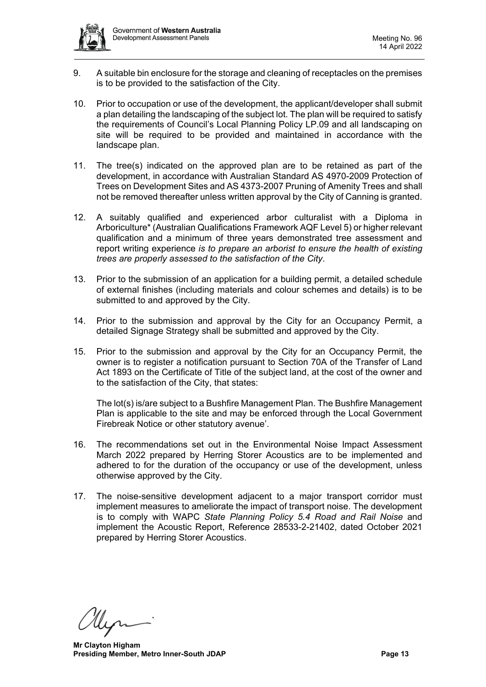

- 9. A suitable bin enclosure for the storage and cleaning of receptacles on the premises is to be provided to the satisfaction of the City.
- 10. Prior to occupation or use of the development, the applicant/developer shall submit a plan detailing the landscaping of the subject lot. The plan will be required to satisfy the requirements of Council's Local Planning Policy LP.09 and all landscaping on site will be required to be provided and maintained in accordance with the landscape plan.
- 11. The tree(s) indicated on the approved plan are to be retained as part of the development, in accordance with Australian Standard AS 4970-2009 Protection of Trees on Development Sites and AS 4373-2007 Pruning of Amenity Trees and shall not be removed thereafter unless written approval by the City of Canning is granted.
- 12. A suitably qualified and experienced arbor culturalist with a Diploma in Arboriculture\* (Australian Qualifications Framework AQF Level 5) or higher relevant qualification and a minimum of three years demonstrated tree assessment and report writing experience *is to prepare an arborist to ensure the health of existing trees are properly assessed to the satisfaction of the City*.
- 13. Prior to the submission of an application for a building permit, a detailed schedule of external finishes (including materials and colour schemes and details) is to be submitted to and approved by the City.
- 14. Prior to the submission and approval by the City for an Occupancy Permit, a detailed Signage Strategy shall be submitted and approved by the City.
- 15. Prior to the submission and approval by the City for an Occupancy Permit, the owner is to register a notification pursuant to Section 70A of the Transfer of Land Act 1893 on the Certificate of Title of the subject land, at the cost of the owner and to the satisfaction of the City, that states:

The lot(s) is/are subject to a Bushfire Management Plan. The Bushfire Management Plan is applicable to the site and may be enforced through the Local Government Firebreak Notice or other statutory avenue'.

- 16. The recommendations set out in the Environmental Noise Impact Assessment March 2022 prepared by Herring Storer Acoustics are to be implemented and adhered to for the duration of the occupancy or use of the development, unless otherwise approved by the City.
- 17. The noise-sensitive development adjacent to a major transport corridor must implement measures to ameliorate the impact of transport noise. The development is to comply with WAPC *State Planning Policy 5.4 Road and Rail Noise* and implement the Acoustic Report, Reference 28533-2-21402, dated October 2021 prepared by Herring Storer Acoustics.

**Mr Clayton Higham Presiding Member, Metro Inner-South JDAP Page 13 Page 13**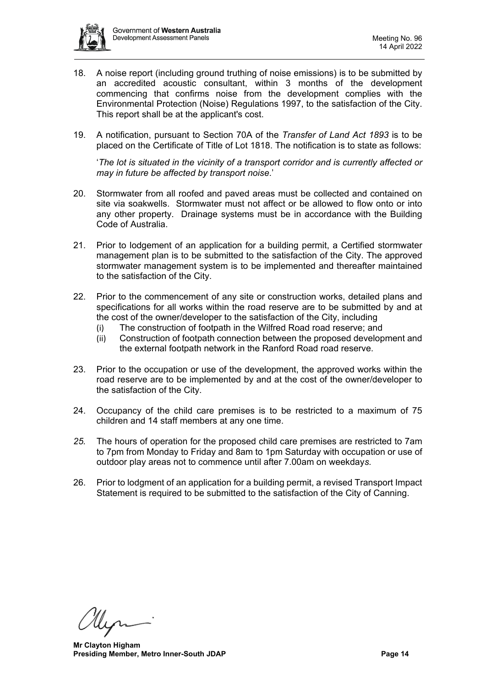

- 18. A noise report (including ground truthing of noise emissions) is to be submitted by an accredited acoustic consultant, within 3 months of the development commencing that confirms noise from the development complies with the Environmental Protection (Noise) Regulations 1997, to the satisfaction of the City. This report shall be at the applicant's cost.
- 19. A notification, pursuant to Section 70A of the *Transfer of Land Act 1893* is to be placed on the Certificate of Title of Lot 1818. The notification is to state as follows:

'*The lot is situated in the vicinity of a transport corridor and is currently affected or may in future be affected by transport noise*.'

- 20. Stormwater from all roofed and paved areas must be collected and contained on site via soakwells. Stormwater must not affect or be allowed to flow onto or into any other property. Drainage systems must be in accordance with the Building Code of Australia.
- 21. Prior to lodgement of an application for a building permit, a Certified stormwater management plan is to be submitted to the satisfaction of the City. The approved stormwater management system is to be implemented and thereafter maintained to the satisfaction of the City.
- 22. Prior to the commencement of any site or construction works, detailed plans and specifications for all works within the road reserve are to be submitted by and at the cost of the owner/developer to the satisfaction of the City, including
	- (i) The construction of footpath in the Wilfred Road road reserve; and
	- (ii) Construction of footpath connection between the proposed development and the external footpath network in the Ranford Road road reserve.
- 23. Prior to the occupation or use of the development, the approved works within the road reserve are to be implemented by and at the cost of the owner/developer to the satisfaction of the City.
- 24. Occupancy of the child care premises is to be restricted to a maximum of 75 children and 14 staff members at any one time.
- *25.* The hours of operation for the proposed child care premises are restricted to 7am to 7pm from Monday to Friday and 8am to 1pm Saturday with occupation or use of outdoor play areas not to commence until after 7.00am on weekday*s.*
- 26. Prior to lodgment of an application for a building permit, a revised Transport Impact Statement is required to be submitted to the satisfaction of the City of Canning.

**Mr Clayton Higham Presiding Member, Metro Inner-South JDAP Page 14 Page 14**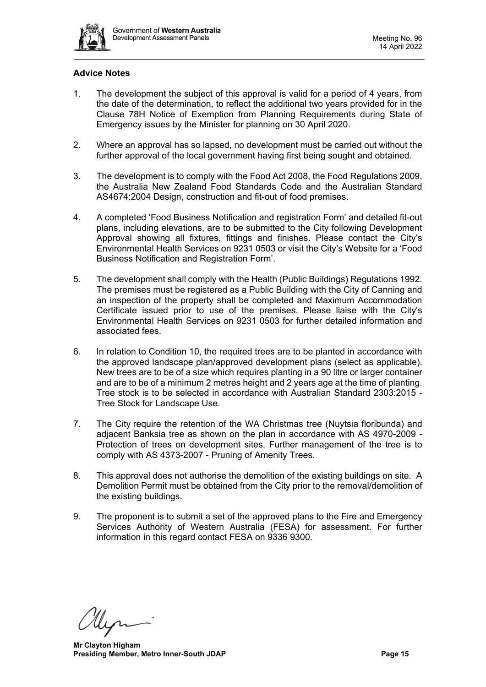

# **Advice Notes**

- 1. The development the subject of this approval is valid for a period of 4 years, from the date of the determination, to reflect the additional two years provided for in the Clause 78H Notice of Exemption from Planning Requirements during State of Emergency issues by the Minister for planning on 30 April 2020.
- 2. Where an approval has so lapsed, no development must be carried out without the further approval of the local government having first being sought and obtained.
- 3. The development is to comply with the Food Act 2008, the Food Regulations 2009, the Australia New Zealand Food Standards Code and the Australian Standard AS4674:2004 Design, construction and fit-out of food premises.
- 4. A completed 'Food Business Notification and registration Form' and detailed fit-out plans, including elevations, are to be submitted to the City following Development Approval showing all fixtures, fittings and finishes. Please contact the Citv's Environmental Health Services on 9231 0503 or visit the City's Website for a 'Food Business Notification and Registration Form'.
- 5. The development shall comply with the Health (Public Buildings) Regulations 1992. The premises must be registered as a Public Building with the City of Canning and an inspection of the property shall be completed and Maximum Accommodation Certificate issued prior to use of the premises. Please liaise with the City's Environmental Health Services on 9231 0503 for further detailed information and associated fees.
- 6. In relation to Condition 10, the required trees are to be planted in accordance with the approved landscape plan/approved development plans (select as applicable). New trees are to be of a size which requires planting in a 90 litre or larger container and are to be of a minimum 2 metres height and 2 years age at the time of planting. Tree stock is to be selected in accordance with Australian Standard 2303:2015 - Tree Stock for Landscape Use.
- 7. The City require the retention of the WA Christmas tree (Nuytsia floribunda) and adjacent Banksia tree as shown on the plan in accordance with AS 4970-2009 - Protection of trees on development sites. Further management of the tree is to comply with AS 4373-2007 - Pruning of Amenity Trees.
- 8. This approval does not authorise the demolition of the existing buildings on site. A Demolition Permit must be obtained from the City prior to the removal/demolition of the existing buildings.
- 9. The proponent is to submit a set of the approved plans to the Fire and Emergency Services Authority of Western Australia (FESA) for assessment. For further information in this regard contact FESA on 9336 9300.

**Mr Clayton Higham Presiding Member, Metro Inner-South JDAP Page 15 Page 15**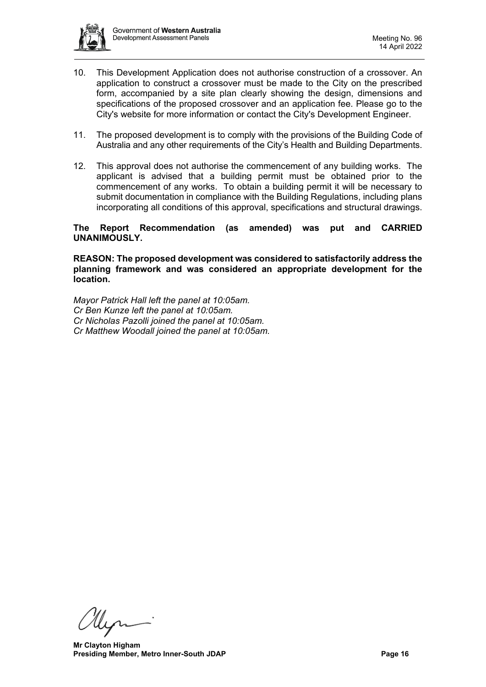

- 10. This Development Application does not authorise construction of a crossover. An application to construct a crossover must be made to the City on the prescribed form, accompanied by a site plan clearly showing the design, dimensions and specifications of the proposed crossover and an application fee. Please go to the City's website for more information or contact the City's Development Engineer.
- 11. The proposed development is to comply with the provisions of the Building Code of Australia and any other requirements of the City's Health and Building Departments.
- 12. This approval does not authorise the commencement of any building works. The applicant is advised that a building permit must be obtained prior to the commencement of any works. To obtain a building permit it will be necessary to submit documentation in compliance with the Building Regulations, including plans incorporating all conditions of this approval, specifications and structural drawings.

### **The Report Recommendation (as amended) was put and CARRIED UNANIMOUSLY.**

**REASON: The proposed development was considered to satisfactorily address the planning framework and was considered an appropriate development for the location.**

*Mayor Patrick Hall left the panel at 10:05am. Cr Ben Kunze left the panel at 10:05am. Cr Nicholas Pazolli joined the panel at 10:05am. Cr Matthew Woodall joined the panel at 10:05am.*

**Mr Clayton Higham Presiding Member, Metro Inner-South JDAP Page 16 Page 16**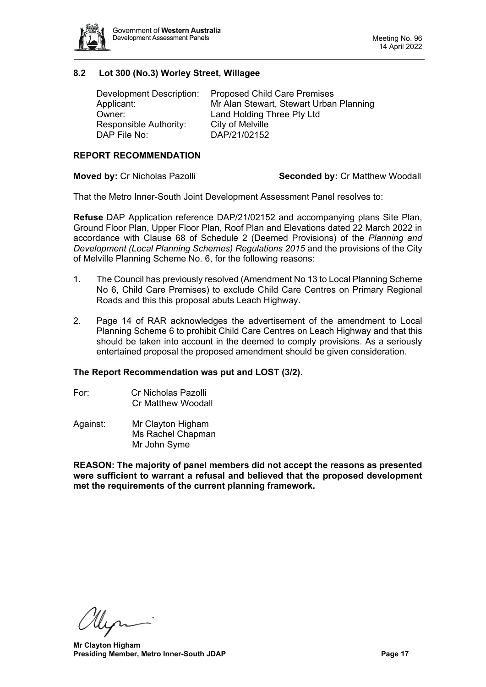

# **8.2 Lot 300 (No.3) Worley Street, Willagee**

<span id="page-16-0"></span>

| Development Description: | <b>Proposed Child Care Premises</b>     |
|--------------------------|-----------------------------------------|
| Applicant:               | Mr Alan Stewart, Stewart Urban Planning |
| Owner:                   | Land Holding Three Pty Ltd              |
| Responsible Authority:   | City of Melville                        |
| DAP File No:             | DAP/21/02152                            |

#### **REPORT RECOMMENDATION**

**Moved by:** Cr Nicholas Pazolli **Seconded by:** Cr Matthew Woodall

That the Metro Inner-South Joint Development Assessment Panel resolves to:

**Refuse** DAP Application reference DAP/21/02152 and accompanying plans Site Plan, Ground Floor Plan, Upper Floor Plan, Roof Plan and Elevations dated 22 March 2022 in accordance with Clause 68 of Schedule 2 (Deemed Provisions) of the *Planning and Development (Local Planning Schemes) Regulations 2015* and the provisions of the City of Melville Planning Scheme No. 6, for the following reasons:

- 1. The Council has previously resolved (Amendment No 13 to Local Planning Scheme No 6, Child Care Premises) to exclude Child Care Centres on Primary Regional Roads and this this proposal abuts Leach Highway.
- 2. Page 14 of RAR acknowledges the advertisement of the amendment to Local Planning Scheme 6 to prohibit Child Care Centres on Leach Highway and that this should be taken into account in the deemed to comply provisions. As a seriously entertained proposal the proposed amendment should be given consideration.

#### **The Report Recommendation was put and LOST (3/2).**

- For: Cr Nicholas Pazolli Cr Matthew Woodall
- Against: Mr Clayton Higham Ms Rachel Chapman Mr John Syme

**REASON: The majority of panel members did not accept the reasons as presented were sufficient to warrant a refusal and believed that the proposed development met the requirements of the current planning framework.**

Her

**Mr Clayton Higham Presiding Member, Metro Inner-South JDAP Page 17 Page 17**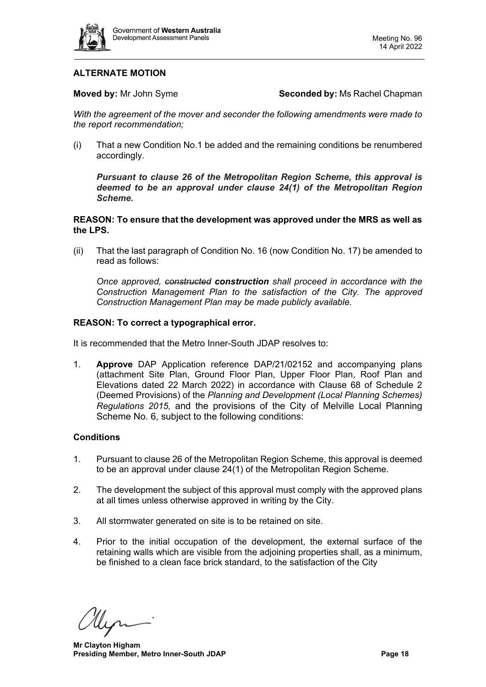

# **ALTERNATE MOTION**

**Moved by:** Mr John Syme **Seconded by:** Ms Rachel Chapman

*With the agreement of the mover and seconder the following amendments were made to the report recommendation;*

(i) That a new Condition No.1 be added and the remaining conditions be renumbered accordingly.

*Pursuant to clause 26 of the Metropolitan Region Scheme, this approval is deemed to be an approval under clause 24(1) of the Metropolitan Region Scheme.*

**REASON: To ensure that the development was approved under the MRS as well as the LPS.**

(ii) That the last paragraph of Condition No. 16 (now Condition No. 17) be amended to read as follows:

*Once approved, constructed construction shall proceed in accordance with the Construction Management Plan to the satisfaction of the City. The approved Construction Management Plan may be made publicly available.*

#### **REASON: To correct a typographical error.**

It is recommended that the Metro Inner-South JDAP resolves to:

1. **Approve** DAP Application reference DAP/21/02152 and accompanying plans (attachment Site Plan, Ground Floor Plan, Upper Floor Plan, Roof Plan and Elevations dated 22 March 2022) in accordance with Clause 68 of Schedule 2 (Deemed Provisions) of the *Planning and Development (Local Planning Schemes) Regulations 2015,* and the provisions of the City of Melville Local Planning Scheme No. 6, subject to the following conditions:

#### **Conditions**

- 1. Pursuant to clause 26 of the Metropolitan Region Scheme, this approval is deemed to be an approval under clause 24(1) of the Metropolitan Region Scheme.
- 2. The development the subject of this approval must comply with the approved plans at all times unless otherwise approved in writing by the City.
- 3. All stormwater generated on site is to be retained on site.
- 4. Prior to the initial occupation of the development, the external surface of the retaining walls which are visible from the adjoining properties shall, as a minimum, be finished to a clean face brick standard, to the satisfaction of the City

llen

**Mr Clayton Higham Presiding Member, Metro Inner-South JDAP Page 18 Page 18**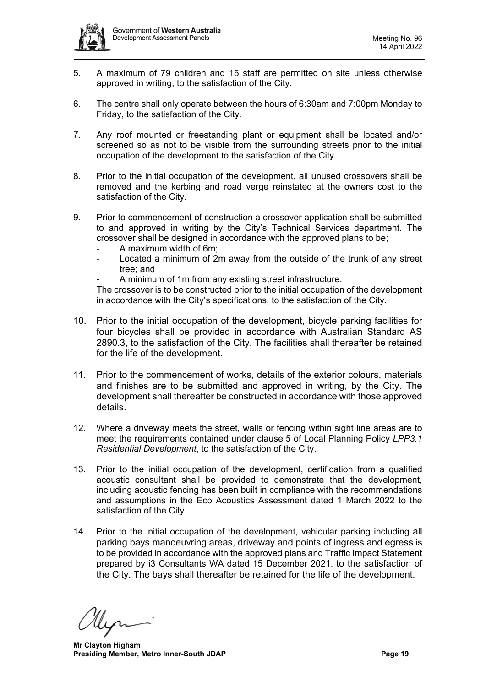

- 5. A maximum of 79 children and 15 staff are permitted on site unless otherwise approved in writing, to the satisfaction of the City.
- 6. The centre shall only operate between the hours of 6:30am and 7:00pm Monday to Friday, to the satisfaction of the City.
- 7. Any roof mounted or freestanding plant or equipment shall be located and/or screened so as not to be visible from the surrounding streets prior to the initial occupation of the development to the satisfaction of the City.
- 8. Prior to the initial occupation of the development, all unused crossovers shall be removed and the kerbing and road verge reinstated at the owners cost to the satisfaction of the City.
- 9. Prior to commencement of construction a crossover application shall be submitted to and approved in writing by the City's Technical Services department. The crossover shall be designed in accordance with the approved plans to be;
	- A maximum width of 6m;
	- Located a minimum of 2m away from the outside of the trunk of any street tree; and
	- A minimum of 1m from any existing street infrastructure.

The crossover is to be constructed prior to the initial occupation of the development in accordance with the City's specifications, to the satisfaction of the City.

- 10. Prior to the initial occupation of the development, bicycle parking facilities for four bicycles shall be provided in accordance with Australian Standard AS 2890.3, to the satisfaction of the City. The facilities shall thereafter be retained for the life of the development.
- 11. Prior to the commencement of works, details of the exterior colours, materials and finishes are to be submitted and approved in writing, by the City. The development shall thereafter be constructed in accordance with those approved details.
- 12. Where a driveway meets the street, walls or fencing within sight line areas are to meet the requirements contained under clause 5 of Local Planning Policy *LPP3.1 Residential Development*, to the satisfaction of the City.
- 13. Prior to the initial occupation of the development, certification from a qualified acoustic consultant shall be provided to demonstrate that the development, including acoustic fencing has been built in compliance with the recommendations and assumptions in the Eco Acoustics Assessment dated 1 March 2022 to the satisfaction of the City.
- 14. Prior to the initial occupation of the development, vehicular parking including all parking bays manoeuvring areas, driveway and points of ingress and egress is to be provided in accordance with the approved plans and Traffic Impact Statement prepared by i3 Consultants WA dated 15 December 2021. to the satisfaction of the City. The bays shall thereafter be retained for the life of the development.

**Mr Clayton Higham Presiding Member, Metro Inner-South JDAP Page 19 Page 19**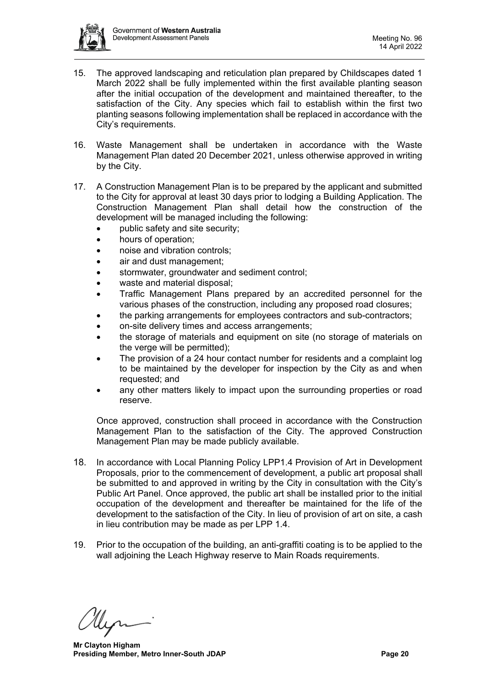

- 15. The approved landscaping and reticulation plan prepared by Childscapes dated 1 March 2022 shall be fully implemented within the first available planting season after the initial occupation of the development and maintained thereafter, to the satisfaction of the City. Any species which fail to establish within the first two planting seasons following implementation shall be replaced in accordance with the City's requirements.
- 16. Waste Management shall be undertaken in accordance with the Waste Management Plan dated 20 December 2021, unless otherwise approved in writing by the City.
- 17. A Construction Management Plan is to be prepared by the applicant and submitted to the City for approval at least 30 days prior to lodging a Building Application. The Construction Management Plan shall detail how the construction of the development will be managed including the following:
	- public safety and site security;
	- hours of operation;
	- noise and vibration controls;
	- air and dust management;
	- stormwater, groundwater and sediment control;
	- waste and material disposal;
	- Traffic Management Plans prepared by an accredited personnel for the various phases of the construction, including any proposed road closures;
	- the parking arrangements for employees contractors and sub-contractors;
	- on-site delivery times and access arrangements;
	- the storage of materials and equipment on site (no storage of materials on the verge will be permitted);
	- The provision of a 24 hour contact number for residents and a complaint log to be maintained by the developer for inspection by the City as and when requested; and
	- any other matters likely to impact upon the surrounding properties or road reserve.

Once approved, construction shall proceed in accordance with the Construction Management Plan to the satisfaction of the City. The approved Construction Management Plan may be made publicly available.

- 18. In accordance with Local Planning Policy LPP1.4 Provision of Art in Development Proposals, prior to the commencement of development, a public art proposal shall be submitted to and approved in writing by the City in consultation with the City's Public Art Panel. Once approved, the public art shall be installed prior to the initial occupation of the development and thereafter be maintained for the life of the development to the satisfaction of the City. In lieu of provision of art on site, a cash in lieu contribution may be made as per LPP 1.4.
- 19. Prior to the occupation of the building, an anti-graffiti coating is to be applied to the wall adjoining the Leach Highway reserve to Main Roads requirements.

**Mr Clayton Higham Presiding Member, Metro Inner-South JDAP Page 20 Page 20**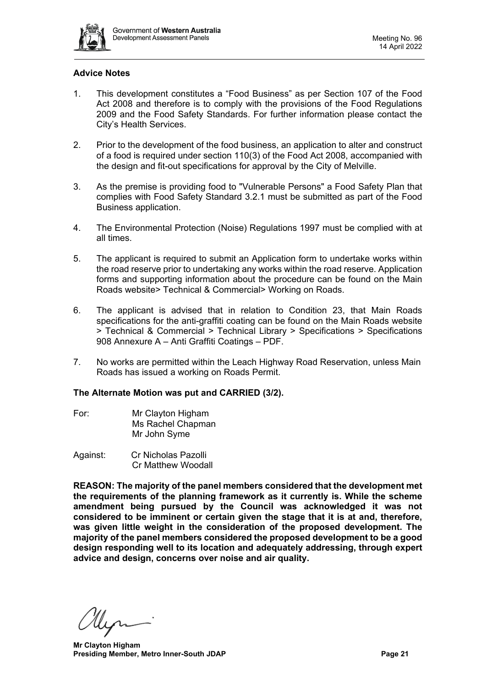

# **Advice Notes**

- 1. This development constitutes a "Food Business" as per Section 107 of the Food Act 2008 and therefore is to comply with the provisions of the Food Regulations 2009 and the Food Safety Standards. For further information please contact the City's Health Services.
- 2. Prior to the development of the food business, an application to alter and construct of a food is required under section 110(3) of the Food Act 2008, accompanied with the design and fit-out specifications for approval by the City of Melville.
- 3. As the premise is providing food to "Vulnerable Persons" a Food Safety Plan that complies with Food Safety Standard 3.2.1 must be submitted as part of the Food Business application.
- 4. The Environmental Protection (Noise) Regulations 1997 must be complied with at all times.
- 5. The applicant is required to submit an Application form to undertake works within the road reserve prior to undertaking any works within the road reserve. Application forms and supporting information about the procedure can be found on the Main Roads website> Technical & Commercial> Working on Roads.
- 6. The applicant is advised that in relation to Condition 23, that Main Roads specifications for the anti-graffiti coating can be found on the Main Roads website > Technical & Commercial > Technical Library > Specifications > Specifications 908 Annexure A – Anti Graffiti Coatings – PDF.
- 7. No works are permitted within the Leach Highway Road Reservation, unless Main Roads has issued a working on Roads Permit.

#### **The Alternate Motion was put and CARRIED (3/2).**

- For: Mr Clayton Higham Ms Rachel Chapman Mr John Syme
- Against: Cr Nicholas Pazolli Cr Matthew Woodall

**REASON: The majority of the panel members considered that the development met the requirements of the planning framework as it currently is. While the scheme amendment being pursued by the Council was acknowledged it was not considered to be imminent or certain given the stage that it is at and, therefore, was given little weight in the consideration of the proposed development. The majority of the panel members considered the proposed development to be a good design responding well to its location and adequately addressing, through expert advice and design, concerns over noise and air quality.**

**Mr Clayton Higham Presiding Member, Metro Inner-South JDAP Page 21 Page 21**